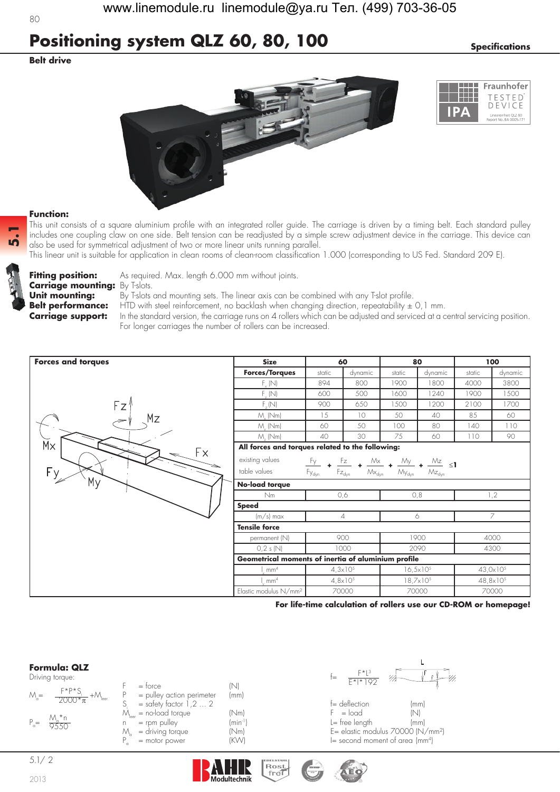# **Positioning system QLZ 60, 80, 100** *Specifications*

## **Belt drive**

 $80$ 





### **Function:**

This unit consists of a square aluminium profile with an integrated roller guide. The carriage is driven by a timing belt. Each standard pulley includes one coupling claw on one side. Belt tension can be readjusted by a simple screw adjustment device in the carriage. This device can also be used for symmetrical adjustment of two or more linear units running parallel.

This linear unit is suitable for application in clean rooms of clean-room classification 1.000 (corresponding to US Fed. Standard 209 E).



**5.1**

**Carriage mounting:** By T-slots.

**Fitting position:** As required. Max. length 6.000 mm without joints.

**Unit mounting:** By T-slots and mounting sets. The linear axis can be combined with any T-slot profile. **Belt performance:** HTD with steel reinforcement, no backlash when changing direction, repeatability  $\pm$  0,1 mm. **Carriage support:** In the standard version, the carriage runs on 4 rollers which can be adjusted and serviced at a central servicing position. For longer carriages the number of rollers can be increased.



**For life-time calculation of rollers use our CD-ROM or homepage!**

## **Formula: QLZ**

| Driving torque |  |
|----------------|--|

|               | Driving torque:                                                   |                                                       |                      | ₩<br>≔<br>$F*1*192$            |     |
|---------------|-------------------------------------------------------------------|-------------------------------------------------------|----------------------|--------------------------------|-----|
|               |                                                                   | $=$ torce                                             |                      |                                |     |
| $M_{\rm g}$ = | $\frac{F^{\star}P^{\star}S_i}{2000^{\star}\pi} + M_{\text{leer}}$ | = pulley action perimeter<br>$=$ safety factor 1,2  2 | (mm)                 | $f =$ deflection               | (mr |
|               |                                                                   | $M_{\text{leer}}$ = no-load torque                    | 'Nm)                 | $F = load$                     | (N) |
| $P_{a} =$     | $\frac{M_a * n}{9550}$                                            | $=$ rpm pulley                                        | (min <sup>-1</sup> ) | $l = free length$              | (mr |
|               |                                                                   | = driving torque<br>Μ                                 | (Nm)                 | E= elastic modulus 70000 (l'   |     |
|               |                                                                   | = motor power                                         | (KW)                 | $I$ = second moment of area (r |     |



 $S = deflection$  (mm)<br>F  $= load$  ... 2 ... 1,2 ... 1,2 ... 1,2 ... 2 ... 1,2 ... 2 ... 1,2 ... 1,2 ... 1,2 ... 1,2 ... 1,2 ... 1,2 ... 1,2 ... 1,2 ... 1,2 ... 1,2 ... 1,2 ... 1,2 ... 1,2 ... 1,2 ... 1,2 ... 1,2 ... 1,2 ... 1,2 ... 1,2  $=$  free length (mm)  $E =$  elastic modulus 70000 (N/mm<sup>2</sup>)  $I=$  second moment of area (mm<sup>4</sup>)